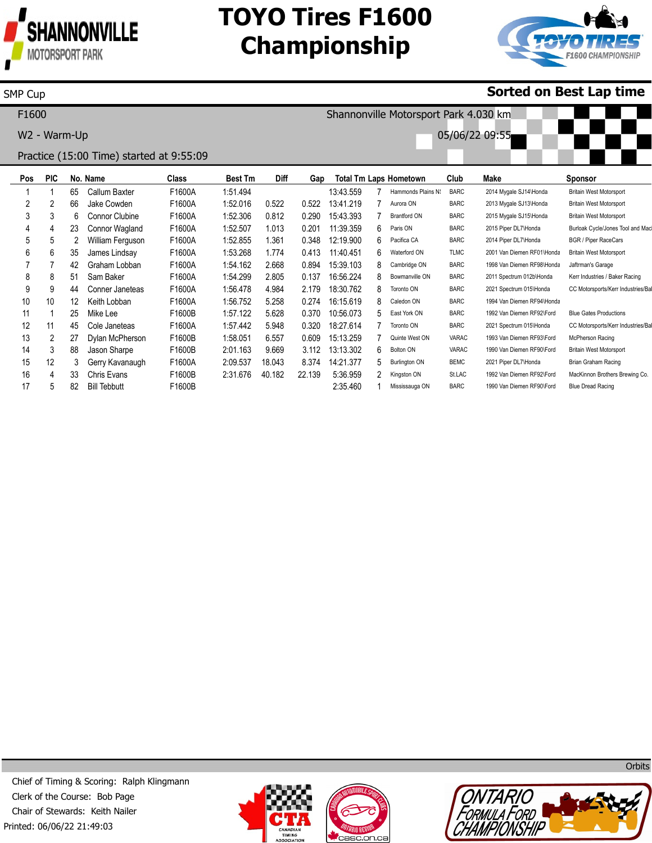

SMP Cup

16 17 4 5 33 82 Chris Evans Bill Tebbutt

F1600B F1600B 2:31.676

40.182

22.139

5:36.959 2:35.460 2 1

Kingston ON Mississauga ON St.LAC BARC

1992 Van Diemen RF92\Ford 1990 Van Diemen RF90\Ford MacKinnon Brothers Brewing Co. Blue Dread Racing

# **TOYO Tires F1600 Championship**



### **Sorted on Best Lap time**

**Pos** 1 2 3 4 5 6 7 8 9 10 11 12 13 14 15 **PIC** 1 2 3 4 5 6 7 8 9 10 1 11 2 3 12 **No. Name** 65 66 6 23 2 35 42 51 44 12 25 45 27 88 3 Callum Baxter Jake Cowden Connor Clubine Connor Wagland William Ferguson James Lindsay Graham Lobban Sam Baker Conner Janeteas Keith Lobban Mike Lee Cole Janeteas Dylan McPherson Jason Sharpe Gerry Kavanaugh **Class** F1600A F1600A F1600A F1600A F1600A F1600A F1600A F1600A F1600A F1600A F1600B F1600A F1600B F1600B F1600A **Best Tm** 1:51.494 1:52.016 1:52.306 1:52.507 1:52.855 1:53.268 1:54.162 1:54.299 1:56.478 1:56.752 1:57.122 1:57.442 1:58.051 2:01.163 2:09.537 **Diff** 0.522 0.812 1.013 1.361 1.774 2.668 2.805 4.984 5.258 5.628 5.948 6.557 9.669 18.043 **Gap** 0.522 0.290 0.201 0.348 0.413 0.894 0.137 2.179 0.274 0.370 0.320 0.609 3.112 8.374 **Total Tm Laps Hometown** 13:43.559 13:41.219 15:43.393 11:39.359 12:19.900 11:40.451 15:39.103 16:56.224 18:30.762 16:15.619 10:56.073 18:27.614 15:13.259 13:13.302 14:21.377 7 7 7 6 6 6 8 8 8 8 5 7 7 6 5 Hammonds Plains N: Aurora ON Brantford ON Paris ON Pacifica CA Waterford ON Cambridge ON Bowmanville ON Toronto ON Caledon ON East York ON Toronto ON Quinte West ON Bolton ON Burlington ON **Club** BARC BARC BARC BARC BARC TLMC BARC BARC BARC BARC BARC BARC VARAC VARAC BEMC **Make** 2014 Mygale SJ14\Honda 2013 Mygale SJ13\Honda 2015 Mygale SJ15\Honda 2015 Piper DL7\Honda 2014 Piper DL7\Honda 2001 Van Diemen RF01\Honda 1998 Van Diemen RF98\Honda 2011 Spectrum 012b\Honda 2021 Spectrum 015\Honda 1994 Van Diemen RF94\Honda 1992 Van Diemen RF92\Ford 2021 Spectrum 015\Honda 1993 Van Diemen RF93\Ford 1990 Van Diemen RF90\Ford 2021 Piper DL7\Honda **Sponsor** Britain West Motorsport Britain West Motorsport Britain West Motorsport Burloak Cycle/Jones Tool and Mac BGR / Piper RaceCars Britain West Motorsport Jaftrman's Garage Kerr Industries / Baker Racing CC Motorsports/Kerr Industries/Ba Blue Gates Productions CC Motorsports/Kerr Industries/Ba McPherson Racing Britain West Motorsport Brian Graham Racing F1600 W2 - Warm-Up Practice (15:00 Time) started at 9:55:09 Shannonville Motorsport Park 4.030 km 05/06/22 09:55

Printed: 06/06/22 21:49:03 Chief of Timing & Scoring: Ralph Klingmann Clerk of the Course: Bob Page Chair of Stewards: Keith Nailer







**Orbits**